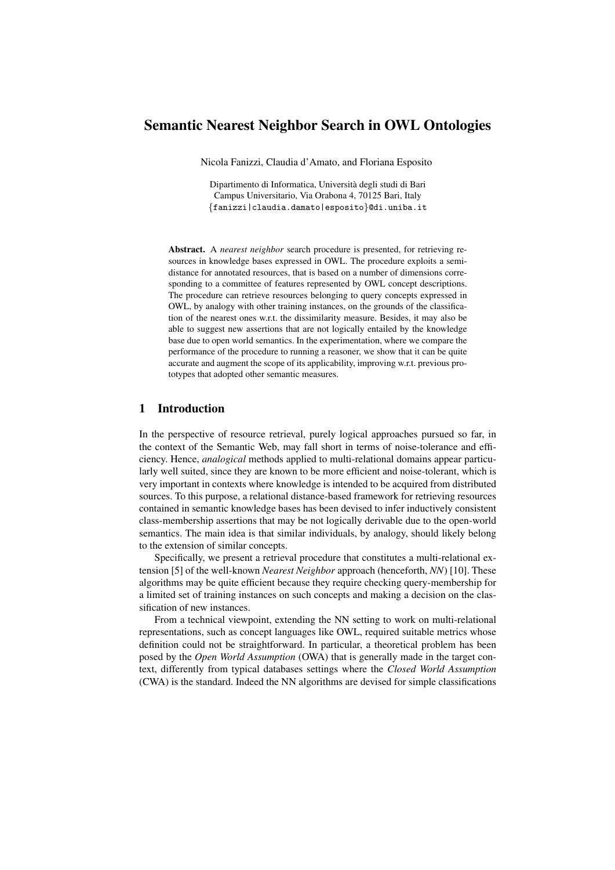# Semantic Nearest Neighbor Search in OWL Ontologies

Nicola Fanizzi, Claudia d'Amato, and Floriana Esposito

Dipartimento di Informatica, Universita degli studi di Bari ` Campus Universitario, Via Orabona 4, 70125 Bari, Italy {fanizzi|claudia.damato|esposito}@di.uniba.it

Abstract. A *nearest neighbor* search procedure is presented, for retrieving resources in knowledge bases expressed in OWL. The procedure exploits a semidistance for annotated resources, that is based on a number of dimensions corresponding to a committee of features represented by OWL concept descriptions. The procedure can retrieve resources belonging to query concepts expressed in OWL, by analogy with other training instances, on the grounds of the classification of the nearest ones w.r.t. the dissimilarity measure. Besides, it may also be able to suggest new assertions that are not logically entailed by the knowledge base due to open world semantics. In the experimentation, where we compare the performance of the procedure to running a reasoner, we show that it can be quite accurate and augment the scope of its applicability, improving w.r.t. previous prototypes that adopted other semantic measures.

### 1 Introduction

In the perspective of resource retrieval, purely logical approaches pursued so far, in the context of the Semantic Web, may fall short in terms of noise-tolerance and efficiency. Hence, *analogical* methods applied to multi-relational domains appear particularly well suited, since they are known to be more efficient and noise-tolerant, which is very important in contexts where knowledge is intended to be acquired from distributed sources. To this purpose, a relational distance-based framework for retrieving resources contained in semantic knowledge bases has been devised to infer inductively consistent class-membership assertions that may be not logically derivable due to the open-world semantics. The main idea is that similar individuals, by analogy, should likely belong to the extension of similar concepts.

Specifically, we present a retrieval procedure that constitutes a multi-relational extension [5] of the well-known *Nearest Neighbor* approach (henceforth, *NN*) [10]. These algorithms may be quite efficient because they require checking query-membership for a limited set of training instances on such concepts and making a decision on the classification of new instances.

From a technical viewpoint, extending the NN setting to work on multi-relational representations, such as concept languages like OWL, required suitable metrics whose definition could not be straightforward. In particular, a theoretical problem has been posed by the *Open World Assumption* (OWA) that is generally made in the target context, differently from typical databases settings where the *Closed World Assumption* (CWA) is the standard. Indeed the NN algorithms are devised for simple classifications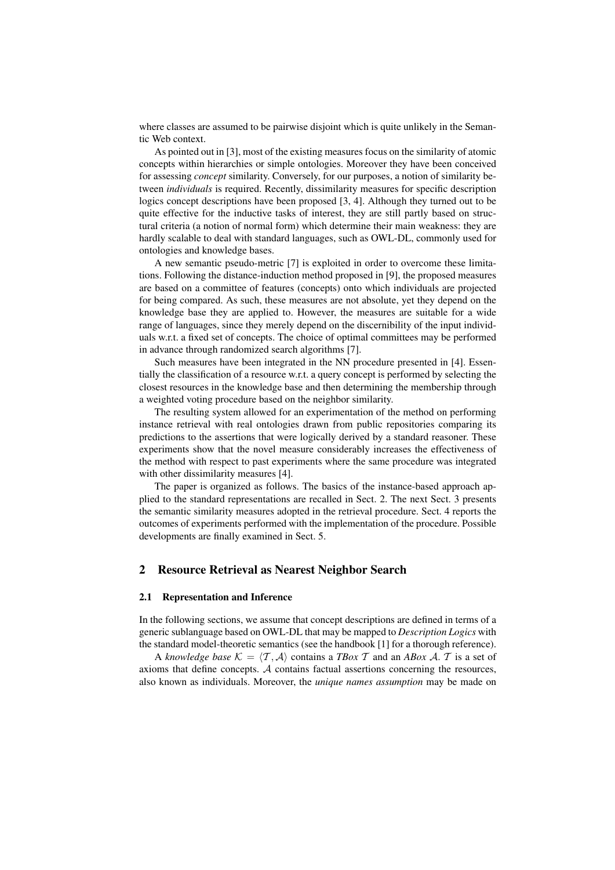where classes are assumed to be pairwise disjoint which is quite unlikely in the Semantic Web context.

As pointed out in [3], most of the existing measures focus on the similarity of atomic concepts within hierarchies or simple ontologies. Moreover they have been conceived for assessing *concept* similarity. Conversely, for our purposes, a notion of similarity between *individuals* is required. Recently, dissimilarity measures for specific description logics concept descriptions have been proposed [3, 4]. Although they turned out to be quite effective for the inductive tasks of interest, they are still partly based on structural criteria (a notion of normal form) which determine their main weakness: they are hardly scalable to deal with standard languages, such as OWL-DL, commonly used for ontologies and knowledge bases.

A new semantic pseudo-metric [7] is exploited in order to overcome these limitations. Following the distance-induction method proposed in [9], the proposed measures are based on a committee of features (concepts) onto which individuals are projected for being compared. As such, these measures are not absolute, yet they depend on the knowledge base they are applied to. However, the measures are suitable for a wide range of languages, since they merely depend on the discernibility of the input individuals w.r.t. a fixed set of concepts. The choice of optimal committees may be performed in advance through randomized search algorithms [7].

Such measures have been integrated in the NN procedure presented in [4]. Essentially the classification of a resource w.r.t. a query concept is performed by selecting the closest resources in the knowledge base and then determining the membership through a weighted voting procedure based on the neighbor similarity.

The resulting system allowed for an experimentation of the method on performing instance retrieval with real ontologies drawn from public repositories comparing its predictions to the assertions that were logically derived by a standard reasoner. These experiments show that the novel measure considerably increases the effectiveness of the method with respect to past experiments where the same procedure was integrated with other dissimilarity measures [4].

The paper is organized as follows. The basics of the instance-based approach applied to the standard representations are recalled in Sect. 2. The next Sect. 3 presents the semantic similarity measures adopted in the retrieval procedure. Sect. 4 reports the outcomes of experiments performed with the implementation of the procedure. Possible developments are finally examined in Sect. 5.

### 2 Resource Retrieval as Nearest Neighbor Search

#### 2.1 Representation and Inference

In the following sections, we assume that concept descriptions are defined in terms of a generic sublanguage based on OWL-DL that may be mapped to *Description Logics* with the standard model-theoretic semantics (see the handbook [1] for a thorough reference).

A *knowledge base*  $\mathcal{K} = \langle T, \mathcal{A} \rangle$  contains a *TBox* T and an *ABox* A. T is a set of axioms that define concepts. A contains factual assertions concerning the resources, also known as individuals. Moreover, the *unique names assumption* may be made on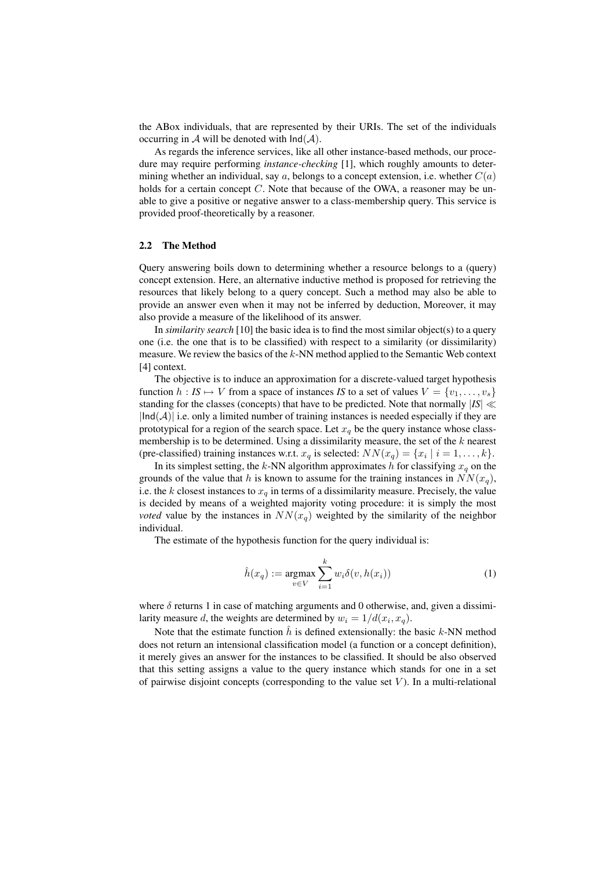the ABox individuals, that are represented by their URIs. The set of the individuals occurring in A will be denoted with  $Ind(A)$ .

As regards the inference services, like all other instance-based methods, our procedure may require performing *instance-checking* [1], which roughly amounts to determining whether an individual, say a, belongs to a concept extension, i.e. whether  $C(a)$ holds for a certain concept  $C$ . Note that because of the OWA, a reasoner may be unable to give a positive or negative answer to a class-membership query. This service is provided proof-theoretically by a reasoner.

#### 2.2 The Method

Query answering boils down to determining whether a resource belongs to a (query) concept extension. Here, an alternative inductive method is proposed for retrieving the resources that likely belong to a query concept. Such a method may also be able to provide an answer even when it may not be inferred by deduction, Moreover, it may also provide a measure of the likelihood of its answer.

In *similarity search* [10] the basic idea is to find the most similar object(s) to a query one (i.e. the one that is to be classified) with respect to a similarity (or dissimilarity) measure. We review the basics of the k-NN method applied to the Semantic Web context [4] context.

The objective is to induce an approximation for a discrete-valued target hypothesis function  $h : I S \mapsto V$  from a space of instances *IS* to a set of values  $V = \{v_1, \ldots, v_s\}$ standing for the classes (concepts) that have to be predicted. Note that normally  $|IS| \ll$  $|Ind(\mathcal{A})|$  i.e. only a limited number of training instances is needed especially if they are prototypical for a region of the search space. Let  $x_q$  be the query instance whose classmembership is to be determined. Using a dissimilarity measure, the set of the  $k$  nearest (pre-classified) training instances w.r.t.  $x_q$  is selected:  $NN(x_q) = \{x_i \mid i = 1, ..., k\}$ .

In its simplest setting, the k-NN algorithm approximates h for classifying  $x_q$  on the grounds of the value that h is known to assume for the training instances in  $NN(x_q)$ , i.e. the k closest instances to  $x_q$  in terms of a dissimilarity measure. Precisely, the value is decided by means of a weighted majority voting procedure: it is simply the most *voted* value by the instances in  $NN(x_q)$  weighted by the similarity of the neighbor individual.

The estimate of the hypothesis function for the query individual is:

$$
\hat{h}(x_q) := \underset{v \in V}{\operatorname{argmax}} \sum_{i=1}^{k} w_i \delta(v, h(x_i)) \tag{1}
$$

where  $\delta$  returns 1 in case of matching arguments and 0 otherwise, and, given a dissimilarity measure d, the weights are determined by  $w_i = 1/d(x_i, x_q)$ .

Note that the estimate function  $\hat{h}$  is defined extensionally: the basic k-NN method does not return an intensional classification model (a function or a concept definition), it merely gives an answer for the instances to be classified. It should be also observed that this setting assigns a value to the query instance which stands for one in a set of pairwise disjoint concepts (corresponding to the value set  $V$ ). In a multi-relational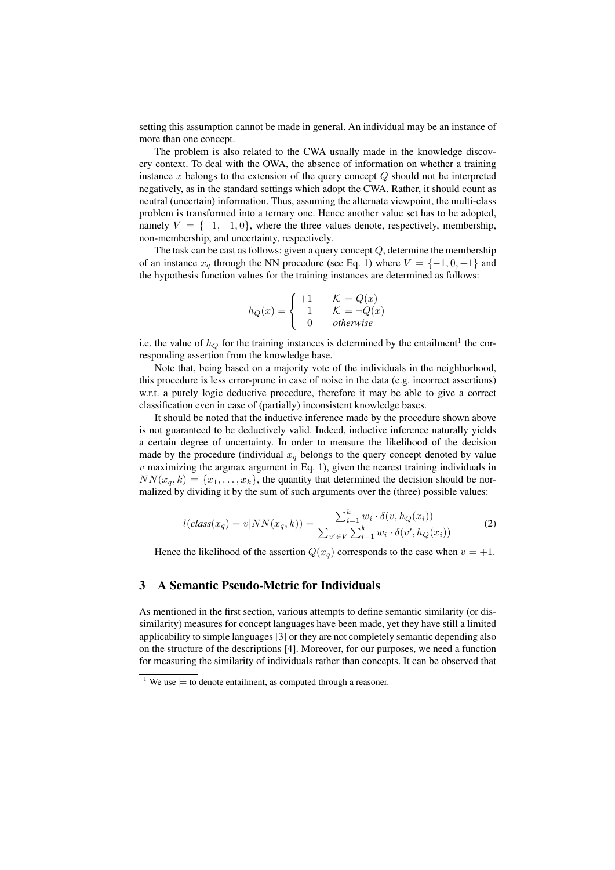setting this assumption cannot be made in general. An individual may be an instance of more than one concept.

The problem is also related to the CWA usually made in the knowledge discovery context. To deal with the OWA, the absence of information on whether a training instance x belongs to the extension of the query concept  $Q$  should not be interpreted negatively, as in the standard settings which adopt the CWA. Rather, it should count as neutral (uncertain) information. Thus, assuming the alternate viewpoint, the multi-class problem is transformed into a ternary one. Hence another value set has to be adopted, namely  $V = \{+1, -1, 0\}$ , where the three values denote, respectively, membership, non-membership, and uncertainty, respectively.

The task can be cast as follows: given a query concept  $Q$ , determine the membership of an instance  $x_q$  through the NN procedure (see Eq. 1) where  $V = \{-1, 0, +1\}$  and the hypothesis function values for the training instances are determined as follows:

$$
h_Q(x) = \begin{cases} +1 & \mathcal{K} \models Q(x) \\ -1 & \mathcal{K} \models \neg Q(x) \\ 0 & otherwise \end{cases}
$$

i.e. the value of  $h_Q$  for the training instances is determined by the entailment<sup>1</sup> the corresponding assertion from the knowledge base.

Note that, being based on a majority vote of the individuals in the neighborhood, this procedure is less error-prone in case of noise in the data (e.g. incorrect assertions) w.r.t. a purely logic deductive procedure, therefore it may be able to give a correct classification even in case of (partially) inconsistent knowledge bases.

It should be noted that the inductive inference made by the procedure shown above is not guaranteed to be deductively valid. Indeed, inductive inference naturally yields a certain degree of uncertainty. In order to measure the likelihood of the decision made by the procedure (individual  $x_q$  belongs to the query concept denoted by value  $v$  maximizing the argmax argument in Eq. 1), given the nearest training individuals in  $NN(x_q, k) = \{x_1, \ldots, x_k\}$ , the quantity that determined the decision should be normalized by dividing it by the sum of such arguments over the (three) possible values:

$$
l(class(x_q) = v|NN(x_q, k)) = \frac{\sum_{i=1}^{k} w_i \cdot \delta(v, h_Q(x_i))}{\sum_{v' \in V} \sum_{i=1}^{k} w_i \cdot \delta(v', h_Q(x_i))}
$$
(2)

Hence the likelihood of the assertion  $Q(x_q)$  corresponds to the case when  $v = +1$ .

# 3 A Semantic Pseudo-Metric for Individuals

As mentioned in the first section, various attempts to define semantic similarity (or dissimilarity) measures for concept languages have been made, yet they have still a limited applicability to simple languages [3] or they are not completely semantic depending also on the structure of the descriptions [4]. Moreover, for our purposes, we need a function for measuring the similarity of individuals rather than concepts. It can be observed that

<sup>&</sup>lt;sup>1</sup> We use  $\models$  to denote entailment, as computed through a reasoner.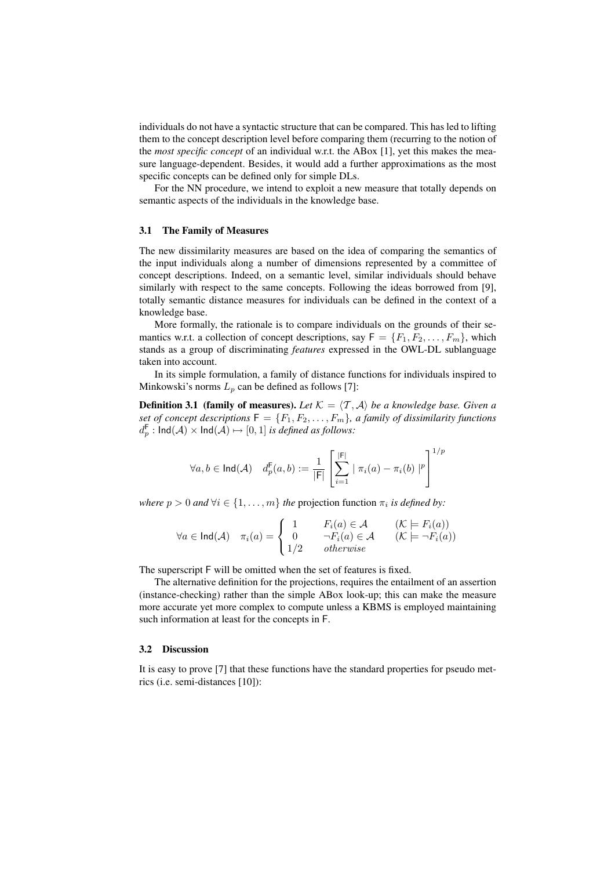individuals do not have a syntactic structure that can be compared. This has led to lifting them to the concept description level before comparing them (recurring to the notion of the *most specific concept* of an individual w.r.t. the ABox [1], yet this makes the measure language-dependent. Besides, it would add a further approximations as the most specific concepts can be defined only for simple DLs.

For the NN procedure, we intend to exploit a new measure that totally depends on semantic aspects of the individuals in the knowledge base.

#### 3.1 The Family of Measures

The new dissimilarity measures are based on the idea of comparing the semantics of the input individuals along a number of dimensions represented by a committee of concept descriptions. Indeed, on a semantic level, similar individuals should behave similarly with respect to the same concepts. Following the ideas borrowed from [9], totally semantic distance measures for individuals can be defined in the context of a knowledge base.

More formally, the rationale is to compare individuals on the grounds of their semantics w.r.t. a collection of concept descriptions, say  $F = \{F_1, F_2, \ldots, F_m\}$ , which stands as a group of discriminating *features* expressed in the OWL-DL sublanguage taken into account.

In its simple formulation, a family of distance functions for individuals inspired to Minkowski's norms  $L_p$  can be defined as follows [7]:

**Definition 3.1 (family of measures).** Let  $K = \langle T, A \rangle$  be a knowledge base. Given a *set of concept descriptions*  $F = \{F_1, F_2, \ldots, F_m\}$ , a family of dissimilarity functions  $d_{p}^{\mathsf{F}}: \mathsf{Ind}(\mathcal{A}) \times \mathsf{Ind}(\mathcal{A}) \mapsto [0,1]$  *is defined as follows:* 

$$
\forall a, b \in \mathsf{Ind}(\mathcal{A}) \quad d_p^{\mathsf{F}}(a, b) := \frac{1}{|\mathsf{F}|} \left[ \sum_{i=1}^{|\mathsf{F}|} \mid \pi_i(a) - \pi_i(b) \mid^p \right]^{1/p}
$$

*where*  $p > 0$  *and*  $\forall i \in \{1, ..., m\}$  *the* projection function  $\pi_i$  *is defined by:* 

$$
\forall a \in \text{Ind}(\mathcal{A}) \quad \pi_i(a) = \begin{cases} 1 & F_i(a) \in \mathcal{A} & (\mathcal{K} \models F_i(a)) \\ 0 & \neg F_i(a) \in \mathcal{A} & (\mathcal{K} \models \neg F_i(a)) \\ 1/2 & otherwise \end{cases}
$$

The superscript F will be omitted when the set of features is fixed.

The alternative definition for the projections, requires the entailment of an assertion (instance-checking) rather than the simple ABox look-up; this can make the measure more accurate yet more complex to compute unless a KBMS is employed maintaining such information at least for the concepts in F.

#### 3.2 Discussion

It is easy to prove [7] that these functions have the standard properties for pseudo metrics (i.e. semi-distances [10]):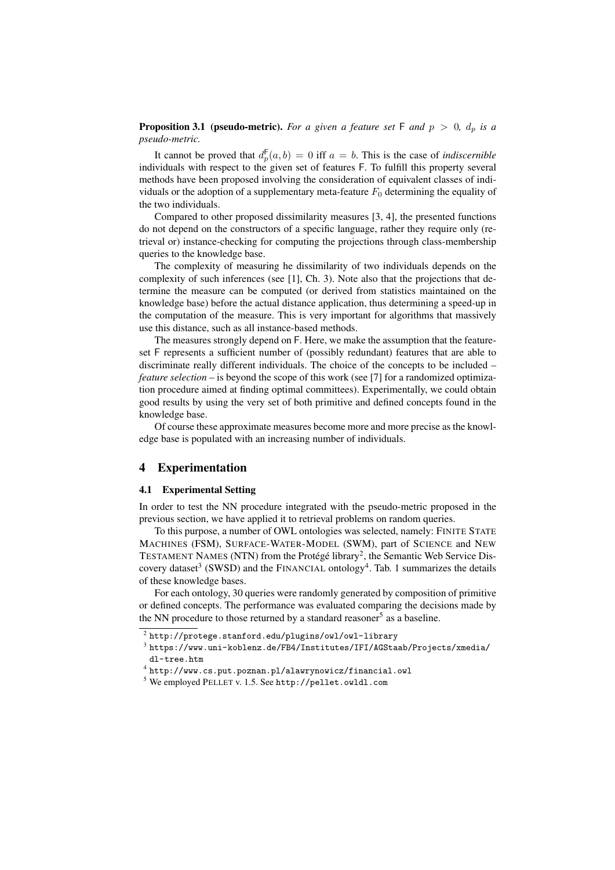**Proposition 3.1 (pseudo-metric).** *For a given a feature set*  $\mathsf{F}$  *and*  $p > 0$ ,  $d_p$  *is a pseudo-metric.*

It cannot be proved that  $d_p^{\mathsf{F}}(a, b) = 0$  iff  $a = b$ . This is the case of *indiscernible* individuals with respect to the given set of features F. To fulfill this property several methods have been proposed involving the consideration of equivalent classes of individuals or the adoption of a supplementary meta-feature  $F_0$  determining the equality of the two individuals.

Compared to other proposed dissimilarity measures [3, 4], the presented functions do not depend on the constructors of a specific language, rather they require only (retrieval or) instance-checking for computing the projections through class-membership queries to the knowledge base.

The complexity of measuring he dissimilarity of two individuals depends on the complexity of such inferences (see [1], Ch. 3). Note also that the projections that determine the measure can be computed (or derived from statistics maintained on the knowledge base) before the actual distance application, thus determining a speed-up in the computation of the measure. This is very important for algorithms that massively use this distance, such as all instance-based methods.

The measures strongly depend on F. Here, we make the assumption that the featureset F represents a sufficient number of (possibly redundant) features that are able to discriminate really different individuals. The choice of the concepts to be included – *feature selection* – is beyond the scope of this work (see [7] for a randomized optimization procedure aimed at finding optimal committees). Experimentally, we could obtain good results by using the very set of both primitive and defined concepts found in the knowledge base.

Of course these approximate measures become more and more precise as the knowledge base is populated with an increasing number of individuals.

## 4 Experimentation

#### 4.1 Experimental Setting

In order to test the NN procedure integrated with the pseudo-metric proposed in the previous section, we have applied it to retrieval problems on random queries.

To this purpose, a number of OWL ontologies was selected, namely: FINITE STATE MACHINES (FSM), SURFACE-WATER-MODEL (SWM), part of SCIENCE and NEW TESTAMENT NAMES (NTN) from the Protégé library<sup>2</sup>, the Semantic Web Service Discovery dataset<sup>3</sup> (SWSD) and the FINANCIAL ontology<sup>4</sup>. Tab. 1 summarizes the details of these knowledge bases.

For each ontology, 30 queries were randomly generated by composition of primitive or defined concepts. The performance was evaluated comparing the decisions made by the NN procedure to those returned by a standard reasoner<sup>5</sup> as a baseline.

 $^2$  http://protege.stanford.edu/plugins/owl/owl-library

 $^3$ https://www.uni-koblenz.de/FB4/Institutes/IFI/AGStaab/Projects/xmedia/ dl-tree.htm

<sup>4</sup> http://www.cs.put.poznan.pl/alawrynowicz/financial.owl

<sup>5</sup> We employed PELLET v. 1.5. See http://pellet.owldl.com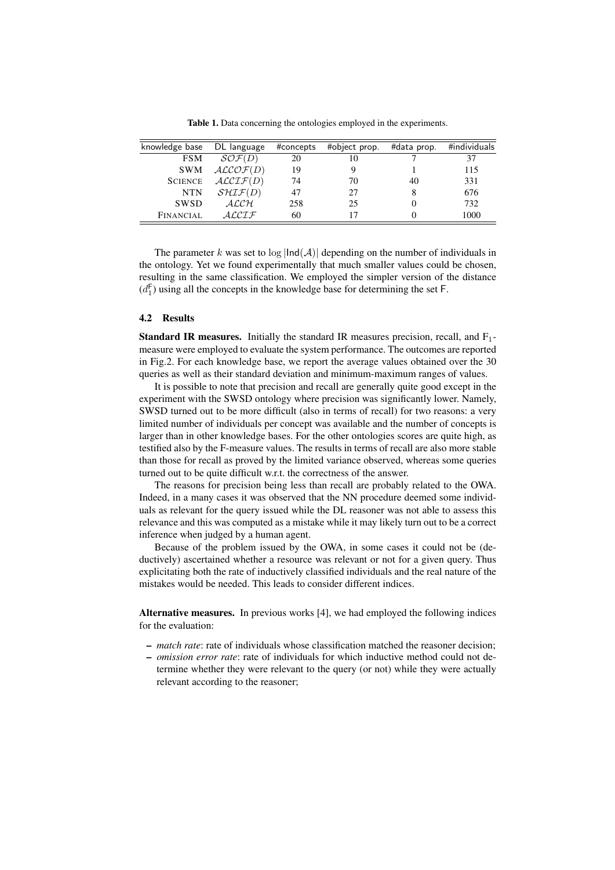Table 1. Data concerning the ontologies employed in the experiments.

| knowledge base | DL language          | #concepts | #object prop. | #data prop. | #individuals |
|----------------|----------------------|-----------|---------------|-------------|--------------|
| <b>FSM</b>     | $\mathcal{SOF}(D)$   | 20        | 10            |             | 37           |
| <b>SWM</b>     | ALCOF(D)             | 19        |               |             | 115          |
| <b>SCIENCE</b> | $\mathcal{ALCIF}(D)$ | 74        | 70            | 40          | 331          |
| <b>NTN</b>     | $\mathcal{SHTF}(D)$  | 47        | 27            |             | 676          |
| <b>SWSD</b>    | $\mathcal{ALCH}$     | 258       | 25            |             | 732          |
| FINANCIAL      | ALCLF                | 60        |               |             | 1000         |

The parameter k was set to  $log \mid Ind(A) \mid$  depending on the number of individuals in the ontology. Yet we found experimentally that much smaller values could be chosen, resulting in the same classification. We employed the simpler version of the distance  $(d_1^F)$  using all the concepts in the knowledge base for determining the set F.

### 4.2 Results

**Standard IR measures.** Initially the standard IR measures precision, recall, and  $F_1$ measure were employed to evaluate the system performance. The outcomes are reported in Fig.2. For each knowledge base, we report the average values obtained over the 30 queries as well as their standard deviation and minimum-maximum ranges of values.

It is possible to note that precision and recall are generally quite good except in the experiment with the SWSD ontology where precision was significantly lower. Namely, SWSD turned out to be more difficult (also in terms of recall) for two reasons: a very limited number of individuals per concept was available and the number of concepts is larger than in other knowledge bases. For the other ontologies scores are quite high, as testified also by the F-measure values. The results in terms of recall are also more stable than those for recall as proved by the limited variance observed, whereas some queries turned out to be quite difficult w.r.t. the correctness of the answer.

The reasons for precision being less than recall are probably related to the OWA. Indeed, in a many cases it was observed that the NN procedure deemed some individuals as relevant for the query issued while the DL reasoner was not able to assess this relevance and this was computed as a mistake while it may likely turn out to be a correct inference when judged by a human agent.

Because of the problem issued by the OWA, in some cases it could not be (deductively) ascertained whether a resource was relevant or not for a given query. Thus explicitating both the rate of inductively classified individuals and the real nature of the mistakes would be needed. This leads to consider different indices.

Alternative measures. In previous works [4], we had employed the following indices for the evaluation:

- *match rate*: rate of individuals whose classification matched the reasoner decision;
- *omission error rate*: rate of individuals for which inductive method could not determine whether they were relevant to the query (or not) while they were actually relevant according to the reasoner;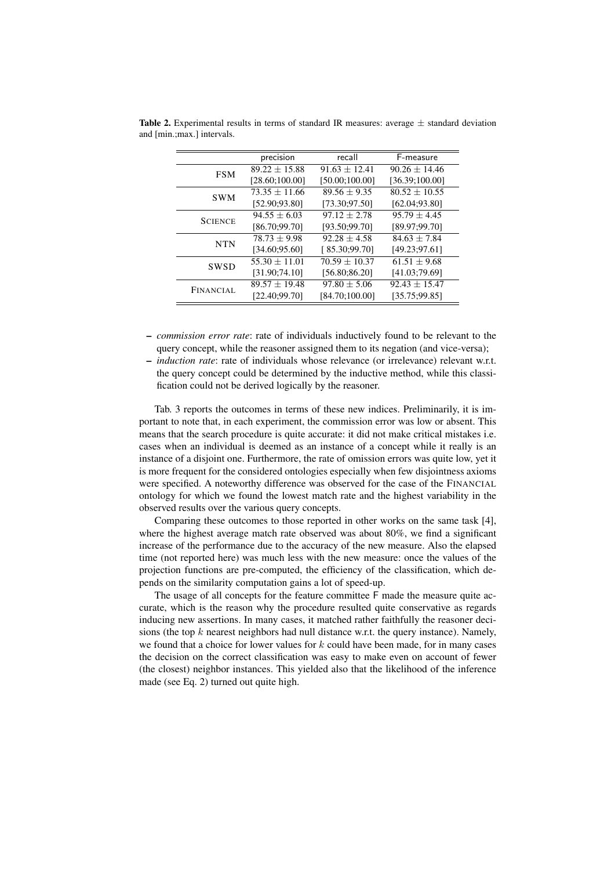|                | precision         | recall            | F-measure         |
|----------------|-------------------|-------------------|-------------------|
| <b>FSM</b>     | $89.22 \pm 15.88$ | $91.63 + 12.41$   | $90.26 \pm 14.46$ |
|                | [28.60;100.00]    | [50.00;100.00]    | [36.39;100.00]    |
| <b>SWM</b>     | $73.35 \pm 11.66$ | $89.56 + 9.35$    | $80.52 \pm 10.55$ |
|                | [52.90;93.80]     | [73.30; 97.50]    | [62.04; 93.80]    |
| <b>SCIENCE</b> | $94.55 \pm 6.03$  | $97.12 \pm 2.78$  | $95.79 \pm 4.45$  |
|                | [86.70:99.70]     | [93.50;99.70]     | [89.97;99.70]     |
| <b>NTN</b>     | $78.73 \pm 9.98$  | $92.28 + 4.58$    | $84.63 + 7.84$    |
|                | [34.60; 95.60]    | [85.30;99.70]     | [49.23; 97.61]    |
| <b>SWSD</b>    | $55.30 \pm 11.01$ | $70.59 \pm 10.37$ | $61.51 \pm 9.68$  |
|                | [31.90;74.10]     | [56.80;86.20]     | [41.03:79.69]     |
| FINANCIAL      | $89.57 \pm 19.48$ | $97.80 \pm 5.06$  | $92.43 \pm 15.47$ |
|                | [22.40:99.70]     | [84.70;100.00]    | [35.75;99.85]     |

**Table 2.** Experimental results in terms of standard IR measures: average  $\pm$  standard deviation and [min.;max.] intervals.

- *commission error rate*: rate of individuals inductively found to be relevant to the query concept, while the reasoner assigned them to its negation (and vice-versa);
- *induction rate*: rate of individuals whose relevance (or irrelevance) relevant w.r.t. the query concept could be determined by the inductive method, while this classification could not be derived logically by the reasoner.

Tab. 3 reports the outcomes in terms of these new indices. Preliminarily, it is important to note that, in each experiment, the commission error was low or absent. This means that the search procedure is quite accurate: it did not make critical mistakes i.e. cases when an individual is deemed as an instance of a concept while it really is an instance of a disjoint one. Furthermore, the rate of omission errors was quite low, yet it is more frequent for the considered ontologies especially when few disjointness axioms were specified. A noteworthy difference was observed for the case of the FINANCIAL ontology for which we found the lowest match rate and the highest variability in the observed results over the various query concepts.

Comparing these outcomes to those reported in other works on the same task [4], where the highest average match rate observed was about 80%, we find a significant increase of the performance due to the accuracy of the new measure. Also the elapsed time (not reported here) was much less with the new measure: once the values of the projection functions are pre-computed, the efficiency of the classification, which depends on the similarity computation gains a lot of speed-up.

The usage of all concepts for the feature committee F made the measure quite accurate, which is the reason why the procedure resulted quite conservative as regards inducing new assertions. In many cases, it matched rather faithfully the reasoner decisions (the top k nearest neighbors had null distance w.r.t. the query instance). Namely, we found that a choice for lower values for  $k$  could have been made, for in many cases the decision on the correct classification was easy to make even on account of fewer (the closest) neighbor instances. This yielded also that the likelihood of the inference made (see Eq. 2) turned out quite high.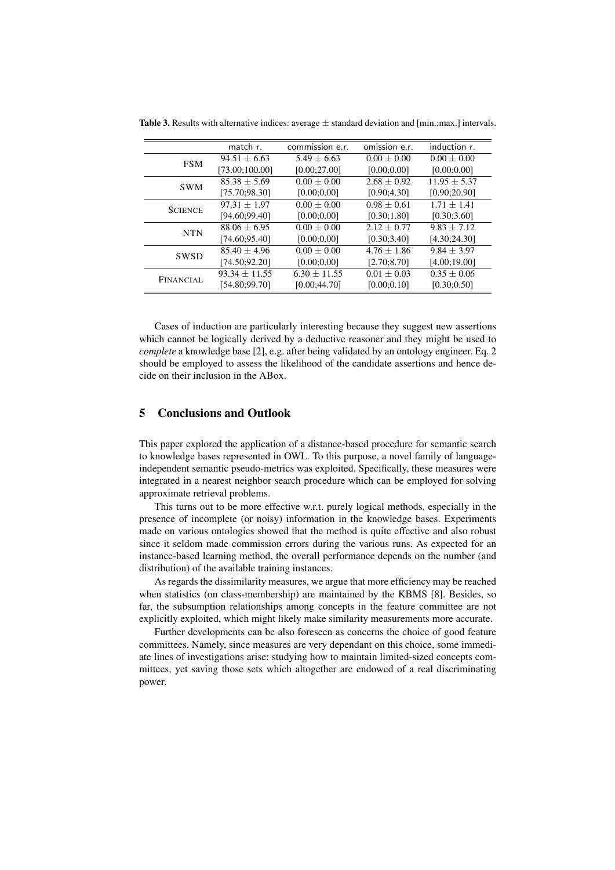|                | match r.          | commission e.r.  | omission e.r.   | induction r.     |
|----------------|-------------------|------------------|-----------------|------------------|
| <b>FSM</b>     | $94.51 \pm 6.63$  | $5.49 \pm 6.63$  | $0.00 \pm 0.00$ | $0.00 \pm 0.00$  |
|                | [73.00;100.00]    | [0.00; 27.00]    | [0.00; 0.00]    | [0.00; 0.00]     |
| <b>SWM</b>     | $85.38 \pm 5.69$  | $0.00 \pm 0.00$  | $2.68 \pm 0.92$ | $11.95 \pm 5.37$ |
|                | [75.70:98.30]     | [0.00; 0.00]     | [0.90; 4.30]    | [0.90; 20.90]    |
| <b>SCIENCE</b> | $97.31 \pm 1.97$  | $0.00 \pm 0.00$  | $0.98 \pm 0.61$ | $1.71 \pm 1.41$  |
|                | [94.60;99.40]     | [0.00; 0.00]     | [0.30; 1.80]    | [0.30; 3.60]     |
| <b>NTN</b>     | $88.06 \pm 6.95$  | $0.00 \pm 0.00$  | $2.12 \pm 0.77$ | $9.83 \pm 7.12$  |
|                | [74.60:95.40]     | [0.00; 0.00]     | [0.30; 3.40]    | [4.30;24.30]     |
| SWSD           | $85.40 \pm 4.96$  | $0.00 \pm 0.00$  | $4.76 + 1.86$   | $9.84 \pm 3.97$  |
|                | [74.50;92.20]     | [0.00; 0.00]     | [2.70; 8.70]    | [4.00;19.00]     |
| FINANCIAL      | $93.34 \pm 11.55$ | $6.30 \pm 11.55$ | $0.01 \pm 0.03$ | $0.35 \pm 0.06$  |
|                | [54.80;99.70]     | [0.00; 44.70]    | [0.00; 0.10]    | [0.30; 0.50]     |
|                |                   |                  |                 |                  |

**Table 3.** Results with alternative indices: average  $\pm$  standard deviation and [min.;max.] intervals.

Cases of induction are particularly interesting because they suggest new assertions which cannot be logically derived by a deductive reasoner and they might be used to *complete* a knowledge base [2], e.g. after being validated by an ontology engineer. Eq. 2 should be employed to assess the likelihood of the candidate assertions and hence decide on their inclusion in the ABox.

## 5 Conclusions and Outlook

This paper explored the application of a distance-based procedure for semantic search to knowledge bases represented in OWL. To this purpose, a novel family of languageindependent semantic pseudo-metrics was exploited. Specifically, these measures were integrated in a nearest neighbor search procedure which can be employed for solving approximate retrieval problems.

This turns out to be more effective w.r.t. purely logical methods, especially in the presence of incomplete (or noisy) information in the knowledge bases. Experiments made on various ontologies showed that the method is quite effective and also robust since it seldom made commission errors during the various runs. As expected for an instance-based learning method, the overall performance depends on the number (and distribution) of the available training instances.

As regards the dissimilarity measures, we argue that more efficiency may be reached when statistics (on class-membership) are maintained by the KBMS [8]. Besides, so far, the subsumption relationships among concepts in the feature committee are not explicitly exploited, which might likely make similarity measurements more accurate.

Further developments can be also foreseen as concerns the choice of good feature committees. Namely, since measures are very dependant on this choice, some immediate lines of investigations arise: studying how to maintain limited-sized concepts committees, yet saving those sets which altogether are endowed of a real discriminating power.